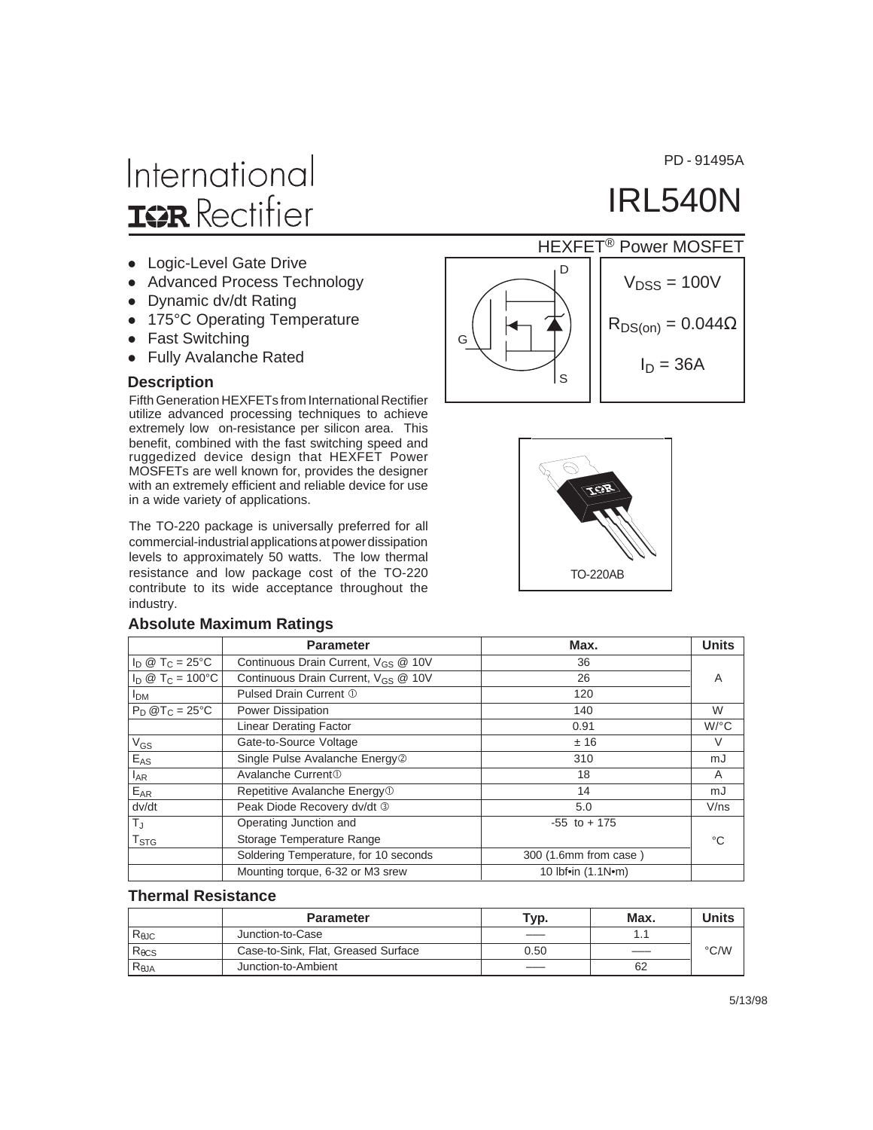PD - 91495A

IRL540N

# International **IQR** Rectifier

- Logic-Level Gate Drive
- Advanced Process Technology
- Dynamic dv/dt Rating
- 175°C Operating Temperature
- Fast Switching
- Fully Avalanche Rated

#### **Description**

Fifth Generation HEXFETs from International Rectifier utilize advanced processing techniques to achieve extremely low on-resistance per silicon area. This benefit, combined with the fast switching speed and ruggedized device design that HEXFET Power MOSFETs are well known for, provides the designer with an extremely efficient and reliable device for use in a wide variety of applications.

The TO-220 package is universally preferred for all commercial-industrial applications at power dissipation levels to approximately 50 watts. The low thermal resistance and low package cost of the TO-220 contribute to its wide acceptance throughout the industry.

#### **Absolute Maximum Ratings**





|                           | <b>Parameter</b>                                | Max.                  | <b>Units</b> |
|---------------------------|-------------------------------------------------|-----------------------|--------------|
| $I_D @ T_C = 25^{\circ}C$ | Continuous Drain Current, V <sub>GS</sub> @ 10V | 36                    |              |
| $I_D @ T_C = 100°C$       | Continuous Drain Current, V <sub>GS</sub> @ 10V | 26                    | A            |
| I <sub>DM</sub>           | Pulsed Drain Current 1                          | 120                   |              |
| $P_D @T_C = 25°C$         | Power Dissipation                               | 140                   | W            |
|                           | <b>Linear Derating Factor</b>                   | 0.91                  | $W$ /°C      |
| $V_{GS}$                  | Gate-to-Source Voltage                          | ±16                   | V            |
| $E_{AS}$                  | Single Pulse Avalanche Energy <sup>2</sup>      | 310                   | mJ           |
| $I_{AR}$                  | Avalanche Current <sup>1</sup>                  | 18                    | A            |
| $E_{AR}$                  | Repetitive Avalanche Energy <sup>1</sup>        | 14                    | mJ           |
| dv/dt                     | Peak Diode Recovery dv/dt 3                     | 5.0                   | V/ns         |
| $T_{\text{J}}$            | Operating Junction and                          | $-55$ to $+175$       |              |
| T <sub>STG</sub>          | Storage Temperature Range                       |                       | °C           |
|                           | Soldering Temperature, for 10 seconds           | 300 (1.6mm from case) |              |
|                           | Mounting torque, 6-32 or M3 srew                | 10 Ibf•in (1.1N•m)    |              |

#### **Thermal Resistance**

|                 | <b>Parameter</b>                    | Typ. | Max. | Units         |
|-----------------|-------------------------------------|------|------|---------------|
| $R_{\theta$ JC  | Junction-to-Case                    |      |      |               |
| $R_{\theta CS}$ | Case-to-Sink, Flat, Greased Surface | 0.50 |      | $\degree$ C/W |
| $R_{\theta$ JA  | Junction-to-Ambient                 |      | 62   |               |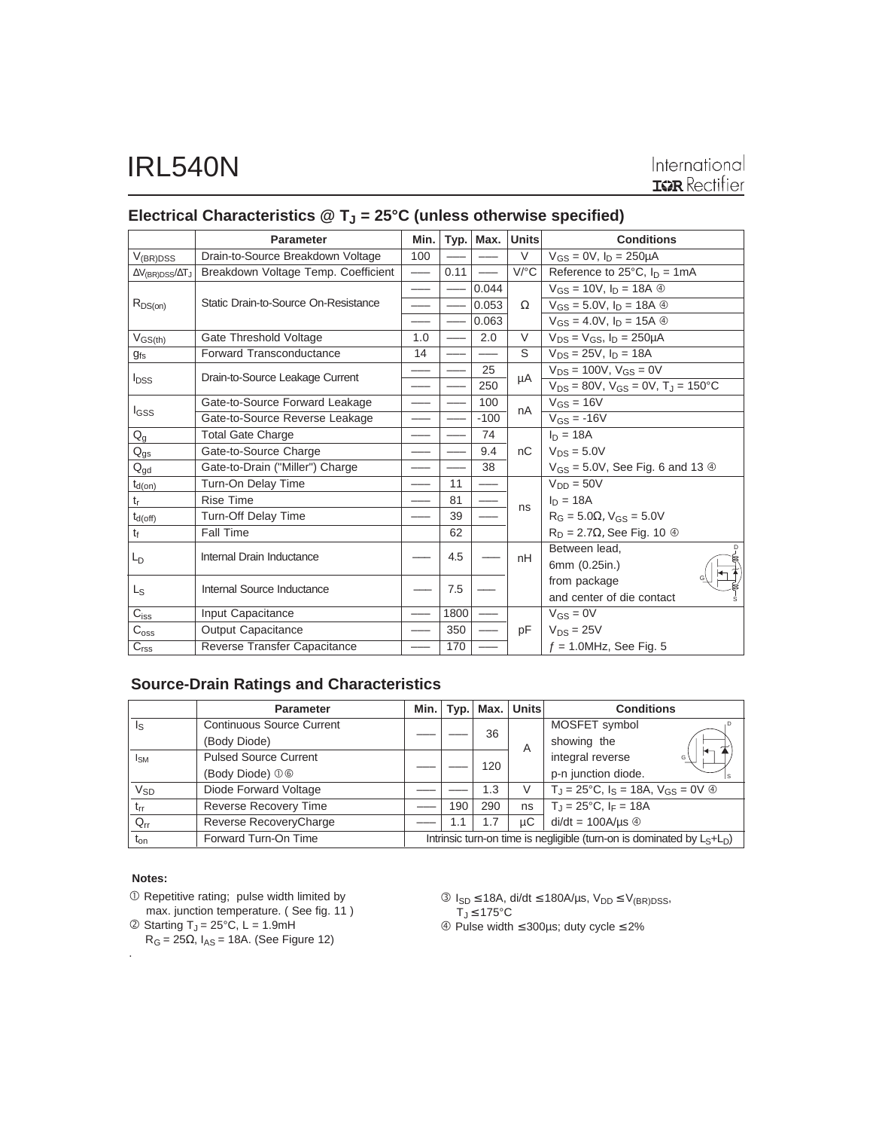|                                        | <b>Parameter</b>                     | Min.            | Typ. | Max.                            | <b>Units</b>         | <b>Conditions</b>                                     |
|----------------------------------------|--------------------------------------|-----------------|------|---------------------------------|----------------------|-------------------------------------------------------|
| $V_{(BR)DSS}$                          | Drain-to-Source Breakdown Voltage    | 100             |      |                                 | V                    | $V_{GS} = 0V$ , $I_D = 250 \mu A$                     |
| $\Delta V_{\text{(BR)DSS}}/\Delta T_J$ | Breakdown Voltage Temp. Coefficient  | $\qquad \qquad$ | 0.11 | $\overbrace{\phantom{1232211}}$ | $V$ <sup>o</sup> $C$ | Reference to $25^{\circ}$ C, $I_{D} = 1$ mA           |
|                                        | Static Drain-to-Source On-Resistance |                 |      | 0.044                           | $\Omega$             | $V_{GS} = 10V$ , $I_D = 18A$ $\circledcirc$           |
| $R_{DS(on)}$                           |                                      |                 |      | 0.053                           |                      | $V_{GS} = 5.0 V, I_D = 18A$ 4                         |
|                                        |                                      |                 |      | 0.063                           |                      | $V_{GS} = 4.0 V, I_D = 15A \circledcirc$              |
| $V_{GS(th)}$                           | Gate Threshold Voltage               | 1.0             |      | 2.0                             | V                    | $V_{DS} = V_{GS}$ , $I_D = 250 \mu A$                 |
| $g_{fs}$                               | Forward Transconductance             | 14              |      |                                 | S                    | $V_{DS} = 25V$ , $I_D = 18A$                          |
|                                        | Drain-to-Source Leakage Current      |                 |      | 25                              | μA                   | $V_{DS} = 100V$ , $V_{GS} = 0V$                       |
| <b>I</b> <sub>DSS</sub>                |                                      |                 |      | 250                             |                      | $V_{DS} = 80V$ , $V_{GS} = 0V$ , $T_J = 150^{\circ}C$ |
|                                        | Gate-to-Source Forward Leakage       |                 |      | 100                             | nA                   | $V_{GS} = 16V$                                        |
| <b>I</b> GSS                           | Gate-to-Source Reverse Leakage       |                 |      | $-100$                          |                      | $V_{GS} = -16V$                                       |
| $Q_g$                                  | <b>Total Gate Charge</b>             |                 |      | 74                              |                      | $I_n = 18A$                                           |
| $Q_{gs}$                               | Gate-to-Source Charge                |                 |      | 9.4                             | nC                   | $V_{DS} = 5.0V$                                       |
| $Q_{gd}$                               | Gate-to-Drain ("Miller") Charge      |                 |      | 38                              |                      | $V_{GS} = 5.0V$ , See Fig. 6 and 13 $\circledcirc$    |
| $t_{d(on)}$                            | Turn-On Delay Time                   |                 | 11   | $\overline{\phantom{0}}$        |                      | $V_{DD} = 50V$                                        |
| $t_{r}$                                | <b>Rise Time</b>                     |                 | 81   |                                 | ns                   | $I_D = 18A$                                           |
| $t_{d(off)}$                           | Turn-Off Delay Time                  |                 | 39   |                                 |                      | $R_G = 5.0\Omega$ , $V_{GS} = 5.0V$                   |
| $t_{\rm f}$                            | Fall Time                            |                 | 62   |                                 |                      | $R_D = 2.7\Omega$ , See Fig. 10 $\circledcirc$        |
| $L_{D}$                                | Internal Drain Inductance            |                 | 4.5  |                                 | nH                   | Between lead.<br>D                                    |
|                                        |                                      |                 |      |                                 |                      | 6mm (0.25in.)                                         |
| Ls                                     | Internal Source Inductance           |                 | 7.5  |                                 |                      | from package                                          |
|                                        |                                      |                 |      |                                 |                      | and center of die contact                             |
| $C_{iss}$                              | Input Capacitance                    |                 | 1800 |                                 |                      | $V_{GS} = 0V$                                         |
| $C_{\rm oss}$                          | <b>Output Capacitance</b>            |                 | 350  |                                 | pF                   | $V_{DS} = 25V$                                        |
| C <sub>rss</sub>                       | Reverse Transfer Capacitance         |                 | 170  |                                 |                      | $f = 1.0$ MHz, See Fig. 5                             |

### Electrical Characteristics @ T<sub>J</sub> = 25°C (unless otherwise specified)

### **Source-Drain Ratings and Characteristics**

|                         | <b>Parameter</b>                 | Min.l                                                                     |     | Typ. Max. | <b>Units</b> | <b>Conditions</b>                                                    |
|-------------------------|----------------------------------|---------------------------------------------------------------------------|-----|-----------|--------------|----------------------------------------------------------------------|
| $\mathsf{I}_\mathsf{S}$ | <b>Continuous Source Current</b> |                                                                           |     | 36        |              | MOSFET symbol                                                        |
|                         | (Body Diode)                     |                                                                           |     | A         | showing the  |                                                                      |
| $I_{SM}$                | <b>Pulsed Source Current</b>     |                                                                           |     |           |              | integral reverse<br>G                                                |
|                         | (Body Diode) 00                  |                                                                           |     | 120       |              | p-n junction diode.                                                  |
| <b>V<sub>SD</sub></b>   | Diode Forward Voltage            |                                                                           |     | 1.3       | V            | $T_{\rm J}$ = 25°C, $I_{\rm S}$ = 18A, $V_{\rm GS}$ = 0V $\circledA$ |
| $t_{rr}$                | <b>Reverse Recovery Time</b>     |                                                                           | 190 | 290       | ns           | $T_{\rm J} = 25^{\circ}$ C, I <sub>F</sub> = 18A                     |
| $Q_{rr}$                | Reverse RecoveryCharge           |                                                                           | 1.1 | 1.7       | иC           | $di/dt = 100A/\mu s$ $\circledcirc$                                  |
| $t_{on}$                | Forward Turn-On Time             | Intrinsic turn-on time is negligible (turn-on is dominated by $L_S+L_D$ ) |     |           |              |                                                                      |

#### **Notes:**

.

 Repetitive rating; pulse width limited by max. junction temperature. ( See fig. 11 )

 $\textcircled{2}$  Starting T<sub>J</sub> = 25°C, L = 1.9mH

 $R_G = 25\Omega$ ,  $I_{AS} = 18A$ . (See Figure 12)

 $\textcircled{3}$  I<sub>SD</sub> ≤ 18A, di/dt ≤ 180A/μs, V<sub>DD</sub> ≤ V<sub>(BR)DSS</sub>, TJ ≤ 175°C

Pulse width ≤ 300µs; duty cycle ≤ 2%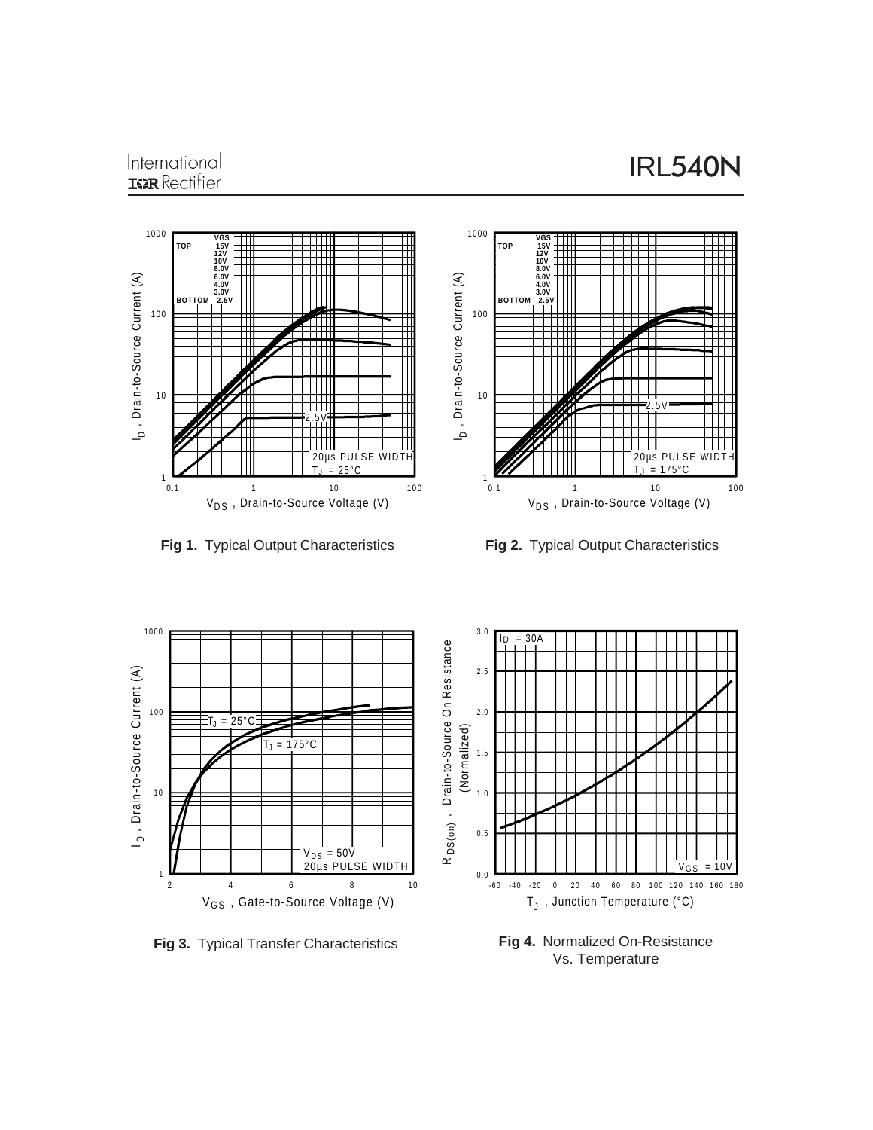### International **ISR** Rectifier



**Fig 1.** Typical Output Characteristics



**Fig 2.** Typical Output Characteristics



**Fig 4.** Normalized On-Resistance Vs. Temperature

**Fig 3.** Typical Transfer Characteristics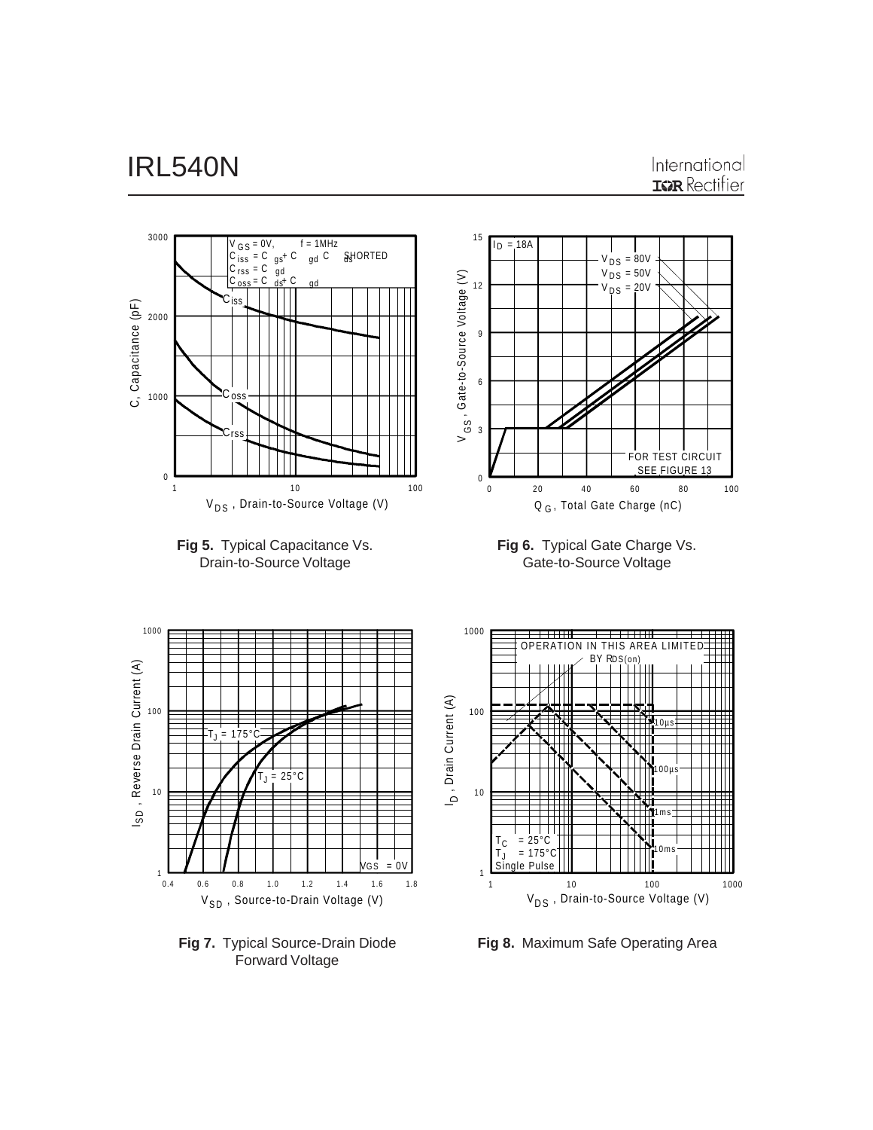

**Fig 7.** Typical Source-Drain Diode Forward Voltage

**Fig 8.** Maximum Safe Operating Area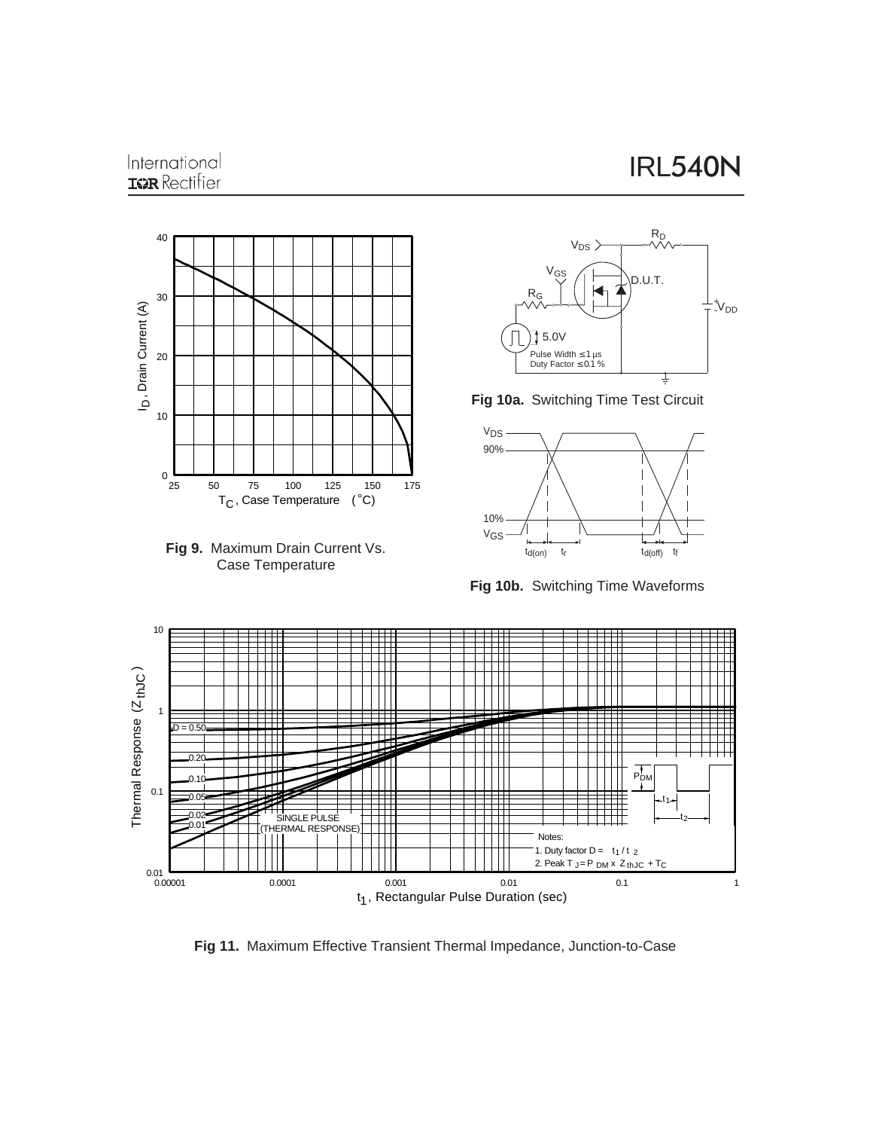## International **IGR** Rectifier











**Fig 10b.** Switching Time Waveforms



**Fig 11.** Maximum Effective Transient Thermal Impedance, Junction-to-Case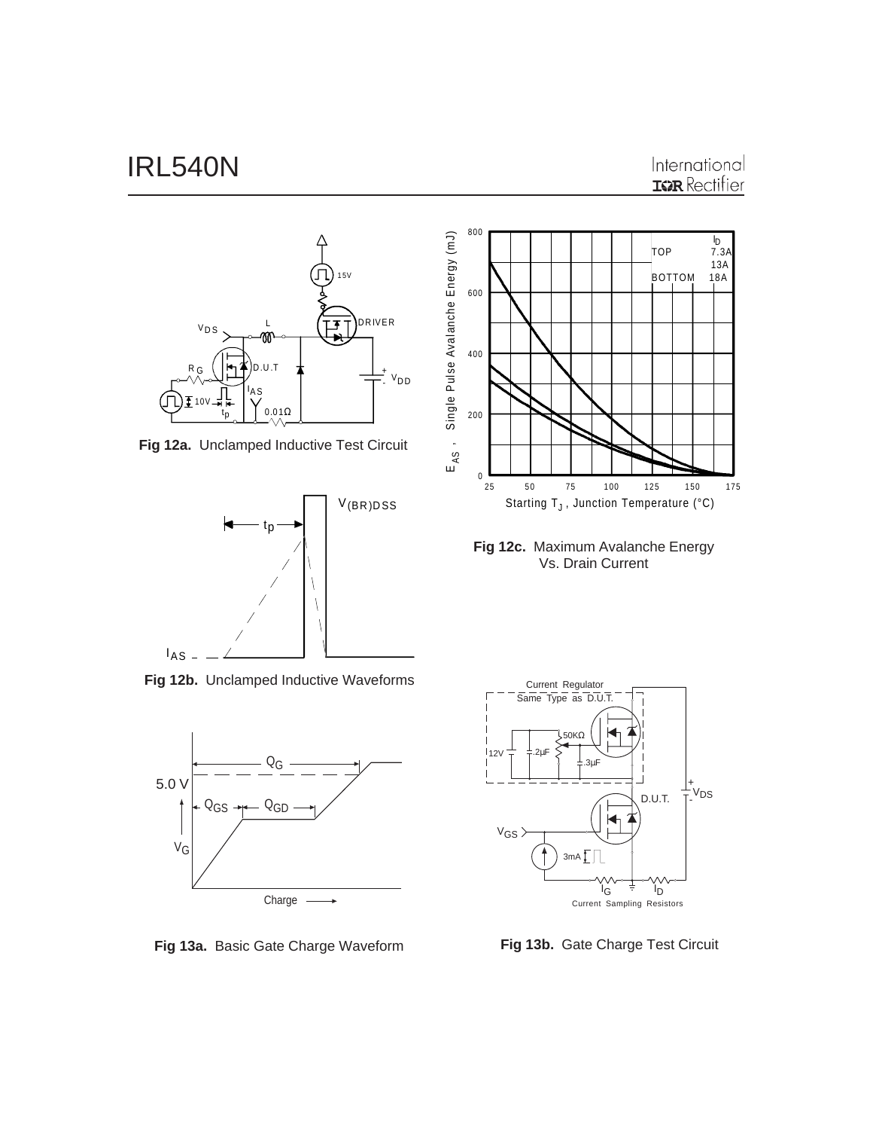### International **IGR** Rectifier



**Fig 12a.** Unclamped Inductive Test Circuit



**Fig 12b.** Unclamped Inductive Waveforms



**Fig 13a.** Basic Gate Charge Waveform **Fig 13b.** Gate Charge Test Circuit



**Fig 12c.** Maximum Avalanche Energy Vs. Drain Current

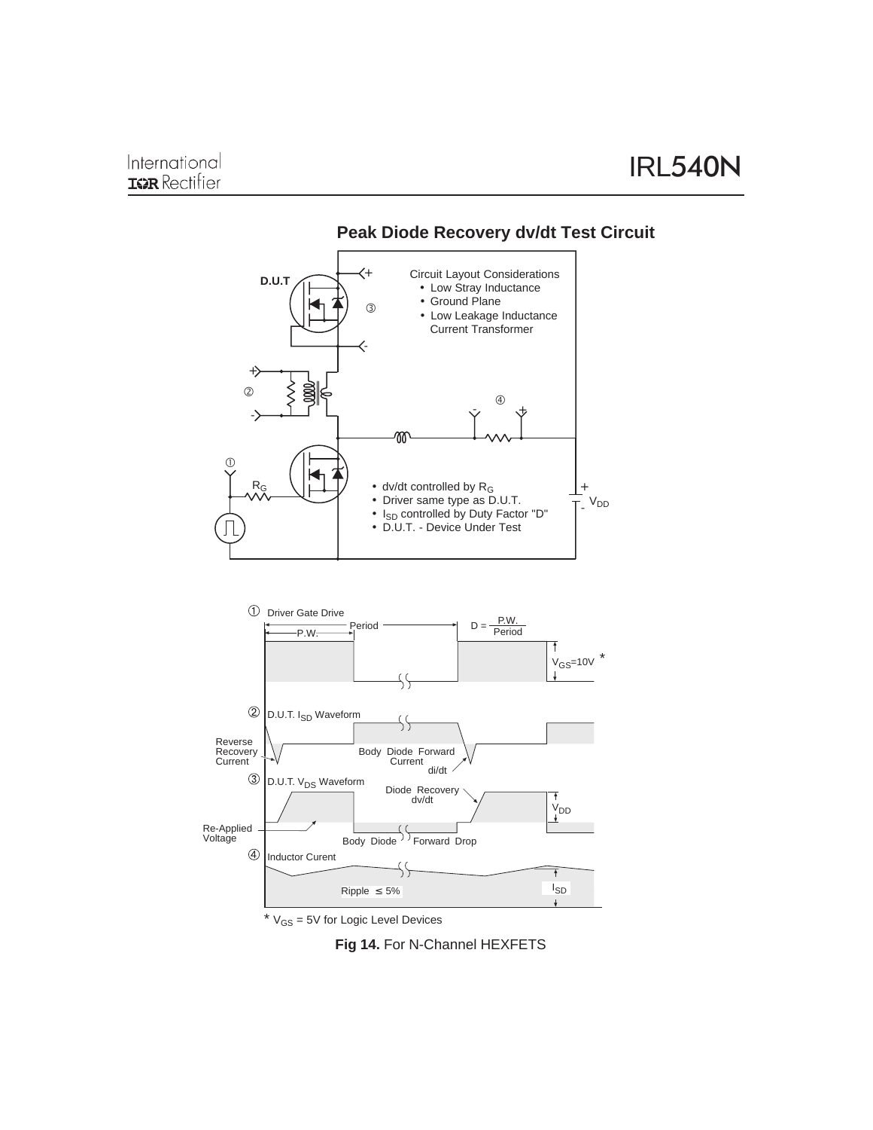

### **Peak Diode Recovery dv/dt Test Circuit**

 $*$   $V_{GS}$  = 5V for Logic Level Devices

**Fig 14.** For N-Channel HEXFETS